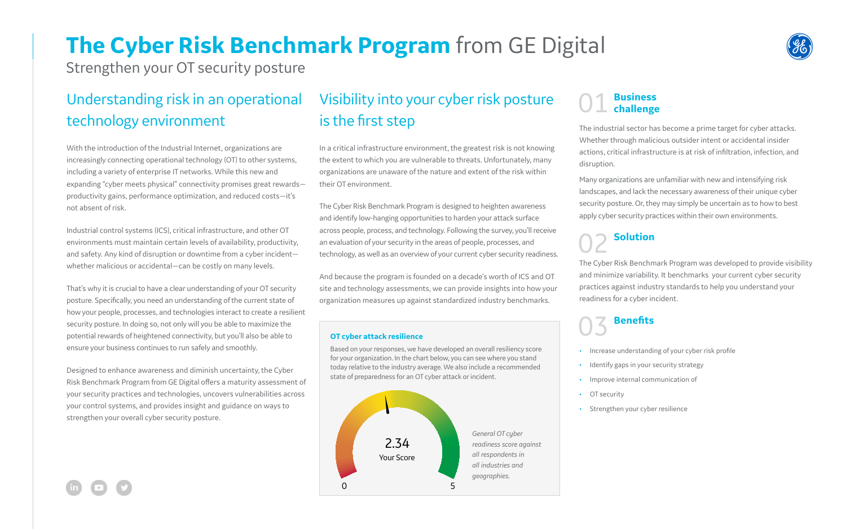## **The Cyber Risk Benchmark Program** from GE Digital

Strengthen your OT security posture

### Understanding risk in an operational technology environment

With the introduction of the Industrial Internet, organizations are increasingly connecting operational technology (OT) to other systems, including a variety of enterprise IT networks. While this new and expanding "cyber meets physical" connectivity promises great rewards productivity gains, performance optimization, and reduced costs—it's not absent of risk.

Industrial control systems (ICS), critical infrastructure, and other OT environments must maintain certain levels of availability, productivity, and safety. Any kind of disruption or downtime from a cyber incident whether malicious or accidental—can be costly on many levels.

That's why it is crucial to have a clear understanding of your OT security posture. Specifically, you need an understanding of the current state of how your people, processes, and technologies interact to create a resilient security posture. In doing so, not only will you be able to maximize the potential rewards of heightened connectivity, but you'll also be able to ensure your business continues to run safely and smoothly.

Designed to enhance awareness and diminish uncertainty, the Cyber Risk Benchmark Program from GE Digital offers a maturity assessment of your security practices and technologies, uncovers vulnerabilities across your control systems, and provides insight and guidance on ways to strengthen your overall cyber security posture.

### Visibility into your cyber risk posture is the first step

• Increase understanding of your cyber risk profile • Identify gaps in your security strategy • Improve internal communication of OT security

Strengthen your cyber resilience

In a critical infrastructure environment, the greatest risk is not knowing the extent to which you are vulnerable to threats. Unfortunately, many organizations are unaware of the nature and extent of the risk within their OT environment.

The Cyber Risk Benchmark Program is designed to heighten awareness and identify low-hanging opportunities to harden your attack surface across people, process, and technology. Following the survey, you'll receive an evaluation of your security in the areas of people, processes, and technology, as well as an overview of your current cyber security readiness.

And because the program is founded on a decade's worth of ICS and OT site and technology assessments, we can provide insights into how your organization measures up against standardized industry benchmarks.

# 01 **Business challenge**

The industrial sector has become a prime target for cyber attacks. Whether through malicious outsider intent or accidental insider actions, critical infrastructure is at risk of infiltration, infection, and disruption.

Many organizations are unfamiliar with new and intensifying risk landscapes, and lack the necessary awareness of their unique cyber security posture. Or, they may simply be uncertain as to how to best apply cyber security practices within their own environments.

## **Solution**

The Cyber Risk Benchmark Program was developed to provide visibility and minimize variability. It benchmarks your current cyber security practices against industry standards to help you understand your readiness for a cyber incident.

## 03 **Benefits**

#### **OT cyber attack resilience**

Based on your responses, we have developed an overall resiliency score for your organization. In the chart below, you can see where you stand today relative to the industry average. We also include a recommended state of preparedness for an OT cyber attack or incident.



- 
- 
- 
- 
- 



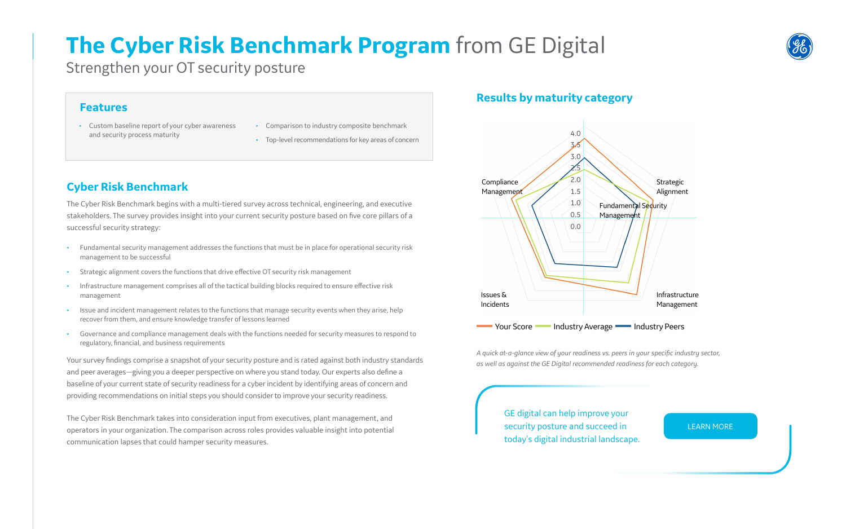## **The Cyber Risk Benchmark Program** from GE Digital

Strengthen your OT security posture

GE digital can help improve your security posture and succeed in today's digital industrial landscape.



[LEARN MORE](https://www.ge.com/digital/products/cyber-security-services)

### **Results by maturity category**



*A quick at-a-glance view of your readiness vs. peers in your specific industry sector, as well as against the GE Digital recommended readiness for each category.*

### **Cyber Risk Benchmark**

The Cyber Risk Benchmark begins with a multi-tiered survey across technical, engineering, and executive stakeholders. The survey provides insight into your current security posture based on five core pillars of a successful security strategy:

- Fundamental security management addresses the functions that must be in place for operational security risk management to be successful
- Strategic alignment covers the functions that drive effective OT security risk management
- Infrastructure management comprises all of the tactical building blocks required to ensure effective risk management
- Issue and incident management relates to the functions that manage security events when they arise, help recover from them, and ensure knowledge transfer of lessons learned
- Governance and compliance management deals with the functions needed for security measures to respond to regulatory, financial, and business requirements

Your survey findings comprise a snapshot of your security posture and is rated against both industry standards and peer averages—giving you a deeper perspective on where you stand today. Our experts also define a baseline of your current state of security readiness for a cyber incident by identifying areas of concern and providing recommendations on initial steps you should consider to improve your security readiness.

The Cyber Risk Benchmark takes into consideration input from executives, plant management, and operators in your organization. The comparison across roles provides valuable insight into potential communication lapses that could hamper security measures.

- Custom baseline report of your cyber awareness and security process maturity
- Comparison to industry composite benchmark
- Top-level recommendations for key areas of concern

### **Features**